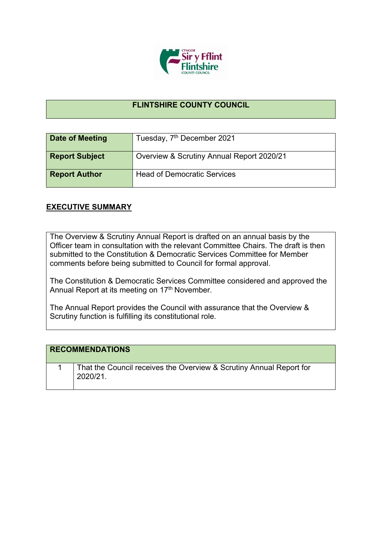

## **FLINTSHIRE COUNTY COUNCIL**

| Date of Meeting       | Tuesday, 7 <sup>th</sup> December 2021    |
|-----------------------|-------------------------------------------|
| <b>Report Subject</b> | Overview & Scrutiny Annual Report 2020/21 |
| <b>Report Author</b>  | <b>Head of Democratic Services</b>        |

## **EXECUTIVE SUMMARY**

The Overview & Scrutiny Annual Report is drafted on an annual basis by the Officer team in consultation with the relevant Committee Chairs. The draft is then submitted to the Constitution & Democratic Services Committee for Member comments before being submitted to Council for formal approval.

The Constitution & Democratic Services Committee considered and approved the Annual Report at its meeting on 17<sup>th</sup> November.

The Annual Report provides the Council with assurance that the Overview & Scrutiny function is fulfilling its constitutional role.

| <b>RECOMMENDATIONS</b> |                                                                                 |
|------------------------|---------------------------------------------------------------------------------|
|                        | That the Council receives the Overview & Scrutiny Annual Report for<br>2020/21. |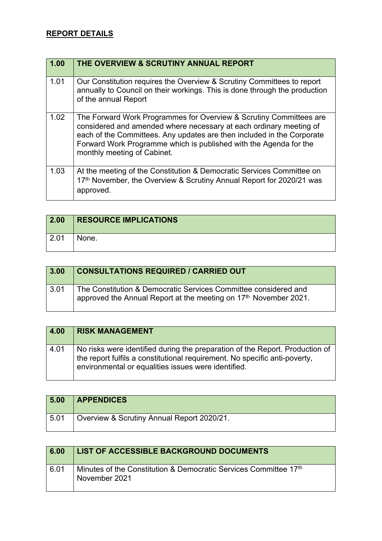## **REPORT DETAILS**

| 1.00 | THE OVERVIEW & SCRUTINY ANNUAL REPORT                                                                                                                                                                                                                                                                                  |
|------|------------------------------------------------------------------------------------------------------------------------------------------------------------------------------------------------------------------------------------------------------------------------------------------------------------------------|
| 1.01 | Our Constitution requires the Overview & Scrutiny Committees to report<br>annually to Council on their workings. This is done through the production<br>of the annual Report                                                                                                                                           |
| 1.02 | The Forward Work Programmes for Overview & Scrutiny Committees are<br>considered and amended where necessary at each ordinary meeting of<br>each of the Committees. Any updates are then included in the Corporate<br>Forward Work Programme which is published with the Agenda for the<br>monthly meeting of Cabinet. |
| 1.03 | At the meeting of the Constitution & Democratic Services Committee on<br>17th November, the Overview & Scrutiny Annual Report for 2020/21 was<br>approved.                                                                                                                                                             |

| $\boxed{2.00}$ | <b>RESOURCE IMPLICATIONS</b> |
|----------------|------------------------------|
| 2.01           | None.                        |

| 3.00               | <b>CONSULTATIONS REQUIRED / CARRIED OUT</b>                                                                                         |
|--------------------|-------------------------------------------------------------------------------------------------------------------------------------|
| $\vert 3.01 \vert$ | The Constitution & Democratic Services Committee considered and<br>approved the Annual Report at the meeting on 17th November 2021. |

| 4.00 | <b>RISK MANAGEMENT</b>                                                                                                                                                                                            |
|------|-------------------------------------------------------------------------------------------------------------------------------------------------------------------------------------------------------------------|
| 4.01 | No risks were identified during the preparation of the Report. Production of<br>the report fulfils a constitutional requirement. No specific anti-poverty,<br>environmental or equalities issues were identified. |

| 5.00 | <b>APPENDICES</b>                          |
|------|--------------------------------------------|
| 5.01 | Overview & Scrutiny Annual Report 2020/21. |

| 6.00 | LIST OF ACCESSIBLE BACKGROUND DOCUMENTS                                           |
|------|-----------------------------------------------------------------------------------|
| 6.01 | Minutes of the Constitution & Democratic Services Committee 17th<br>November 2021 |